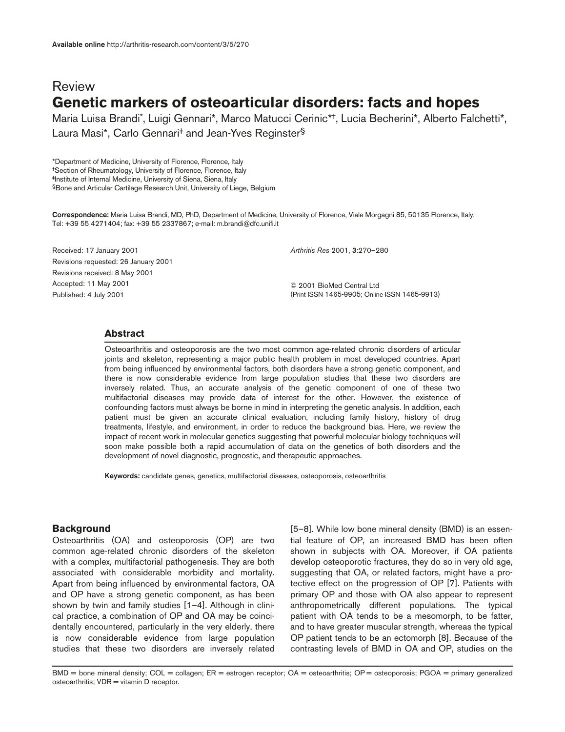# Review **Genetic markers of osteoarticular disorders: facts and hopes**

Maria Luisa Brandi\*, Luigi Gennari\*, Marco Matucci Cerinic\*†, Lucia Becherini\*, Alberto Falchetti\*, Laura Masi\*, Carlo Gennari<sup>‡</sup> and Jean-Yves Reginster<sup>§</sup>

\*Department of Medicine, University of Florence, Florence, Italy †Section of Rheumatology, University of Florence, Florence, Italy ‡Institute of Internal Medicine, University of Siena, Siena, Italy §Bone and Articular Cartilage Research Unit, University of Liege, Belgium

**Correspondence:** Maria Luisa Brandi, MD, PhD, Department of Medicine, University of Florence, Viale Morgagni 85, 50135 Florence, Italy. Tel: +39 55 4271404; fax: +39 55 2337867; e-mail: m.brandi@dfc.unifi.it

Received: 17 January 2001 Revisions requested: 26 January 2001 Revisions received: 8 May 2001 Accepted: 11 May 2001 Published: 4 July 2001

*Arthritis Res* 2001, **3**:270–280

© 2001 BioMed Central Ltd (Print ISSN 1465-9905; Online ISSN 1465-9913)

## **Abstract**

Osteoarthritis and osteoporosis are the two most common age-related chronic disorders of articular joints and skeleton, representing a major public health problem in most developed countries. Apart from being influenced by environmental factors, both disorders have a strong genetic component, and there is now considerable evidence from large population studies that these two disorders are inversely related. Thus, an accurate analysis of the genetic component of one of these two multifactorial diseases may provide data of interest for the other. However, the existence of confounding factors must always be borne in mind in interpreting the genetic analysis. In addition, each patient must be given an accurate clinical evaluation, including family history, history of drug treatments, lifestyle, and environment, in order to reduce the background bias. Here, we review the impact of recent work in molecular genetics suggesting that powerful molecular biology techniques will soon make possible both a rapid accumulation of data on the genetics of both disorders and the development of novel diagnostic, prognostic, and therapeutic approaches.

**Keywords:** candidate genes, genetics, multifactorial diseases, osteoporosis, osteoarthritis

# **Background**

Osteoarthritis (OA) and osteoporosis (OP) are two common age-related chronic disorders of the skeleton with a complex, multifactorial pathogenesis. They are both associated with considerable morbidity and mortality. Apart from being influenced by environmental factors, OA and OP have a strong genetic component, as has been shown by twin and family studies [1-4]. Although in clinical practice, a combination of OP and OA may be coincidentally encountered, particularly in the very elderly, there is now considerable evidence from large population studies that these two disorders are inversely related [5–8]. While low bone mineral density (BMD) is an essential feature of OP, an increased BMD has been often shown in subjects with OA. Moreover, if OA patients develop osteoporotic fractures, they do so in very old age, suggesting that OA, or related factors, might have a protective effect on the progression of OP [7]. Patients with primary OP and those with OA also appear to represent anthropometrically different populations. The typical patient with OA tends to be a mesomorph, to be fatter, and to have greater muscular strength, whereas the typical OP patient tends to be an ectomorph [8]. Because of the contrasting levels of BMD in OA and OP, studies on the

BMD = bone mineral density; COL = collagen; ER = estrogen receptor; OA = osteoarthritis; OP = osteoporosis; PGOA = primary generalized  $osteoarthritis$ ;  $VDR = vitamin D receptor$ .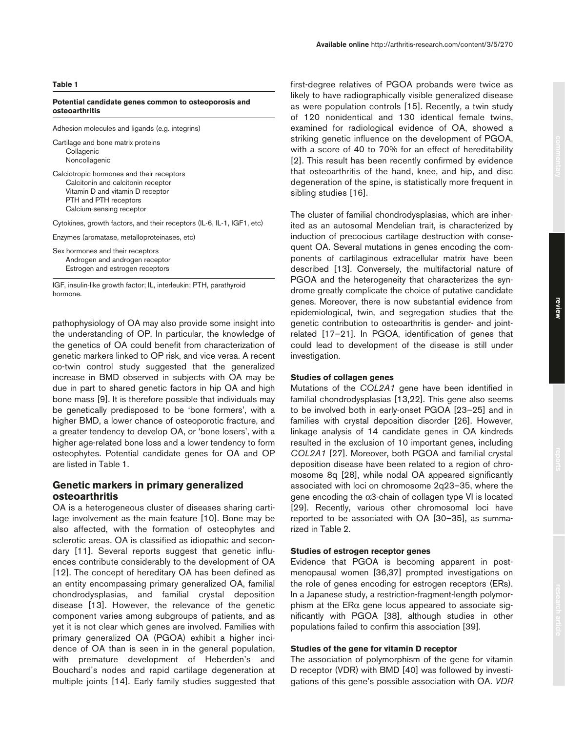#### **Table 1**

#### **Potential candidate genes common to osteoporosis and osteoarthritis**

Adhesion molecules and ligands (e.g. integrins)

Cartilage and bone matrix proteins **Collagenic** Noncollagenic Calciotropic hormones and their receptors

Calcitonin and calcitonin receptor Vitamin D and vitamin D receptor PTH and PTH receptors Calcium-sensing receptor

Cytokines, growth factors, and their receptors (IL-6, IL-1, IGF1, etc)

Enzymes (aromatase, metalloproteinases, etc)

Sex hormones and their receptors Androgen and androgen receptor Estrogen and estrogen receptors

IGF, insulin-like growth factor; IL, interleukin; PTH, parathyroid hormone.

pathophysiology of OA may also provide some insight into the understanding of OP. In particular, the knowledge of the genetics of OA could benefit from characterization of genetic markers linked to OP risk, and vice versa. A recent co-twin control study suggested that the generalized increase in BMD observed in subjects with OA may be due in part to shared genetic factors in hip OA and high bone mass [9]. It is therefore possible that individuals may be genetically predisposed to be 'bone formers', with a higher BMD, a lower chance of osteoporotic fracture, and a greater tendency to develop OA, or 'bone losers', with a higher age-related bone loss and a lower tendency to form osteophytes. Potential candidate genes for OA and OP are listed in Table 1.

# **Genetic markers in primary generalized osteoarthritis**

OA is a heterogeneous cluster of diseases sharing cartilage involvement as the main feature [10]. Bone may be also affected, with the formation of osteophytes and sclerotic areas. OA is classified as idiopathic and secondary [11]. Several reports suggest that genetic influences contribute considerably to the development of OA [12]. The concept of hereditary OA has been defined as an entity encompassing primary generalized OA, familial chondrodysplasias, and familial crystal deposition disease [13]. However, the relevance of the genetic component varies among subgroups of patients, and as yet it is not clear which genes are involved. Families with primary generalized OA (PGOA) exhibit a higher incidence of OA than is seen in in the general population, with premature development of Heberden's and Bouchard's nodes and rapid cartilage degeneration at multiple joints [14]. Early family studies suggested that

first-degree relatives of PGOA probands were twice as likely to have radiographically visible generalized disease as were population controls [15]. Recently, a twin study of 120 nonidentical and 130 identical female twins, examined for radiological evidence of OA, showed a striking genetic influence on the development of PGOA, with a score of 40 to 70% for an effect of hereditability [2]. This result has been recently confirmed by evidence that osteoarthritis of the hand, knee, and hip, and disc degeneration of the spine, is statistically more frequent in sibling studies [16].

The cluster of familial chondrodysplasias, which are inherited as an autosomal Mendelian trait, is characterized by induction of precocious cartilage destruction with consequent OA. Several mutations in genes encoding the components of cartilaginous extracellular matrix have been described [13]. Conversely, the multifactorial nature of PGOA and the heterogeneity that characterizes the syndrome greatly complicate the choice of putative candidate genes. Moreover, there is now substantial evidence from epidemiological, twin, and segregation studies that the genetic contribution to osteoarthritis is gender- and jointrelated [17–21]. In PGOA, identification of genes that could lead to development of the disease is still under investigation.

#### **Studies of collagen genes**

Mutations of the *COL2A1* gene have been identified in familial chondrodysplasias [13,22]. This gene also seems to be involved both in early-onset PGOA [23–25] and in families with crystal deposition disorder [26]. However, linkage analysis of 14 candidate genes in OA kindreds resulted in the exclusion of 10 important genes, including *COL2A1* [27]. Moreover, both PGOA and familial crystal deposition disease have been related to a region of chromosome 8q [28], while nodal OA appeared significantly associated with loci on chromosome 2q23–35, where the gene encoding the α3-chain of collagen type VI is located [29]. Recently, various other chromosomal loci have reported to be associated with OA [30–35], as summarized in Table 2.

# **Studies of estrogen receptor genes**

Evidence that PGOA is becoming apparent in postmenopausal women [36,37] prompted investigations on the role of genes encoding for estrogen receptors (ERs). In a Japanese study, a restriction-fragment-length polymorphism at the  $ER\alpha$  gene locus appeared to associate significantly with PGOA [38], although studies in other populations failed to confirm this association [39].

# **Studies of the gene for vitamin D receptor**

The association of polymorphism of the gene for vitamin D receptor (VDR) with BMD [40] was followed by investigations of this gene's possible association with OA. *VDR*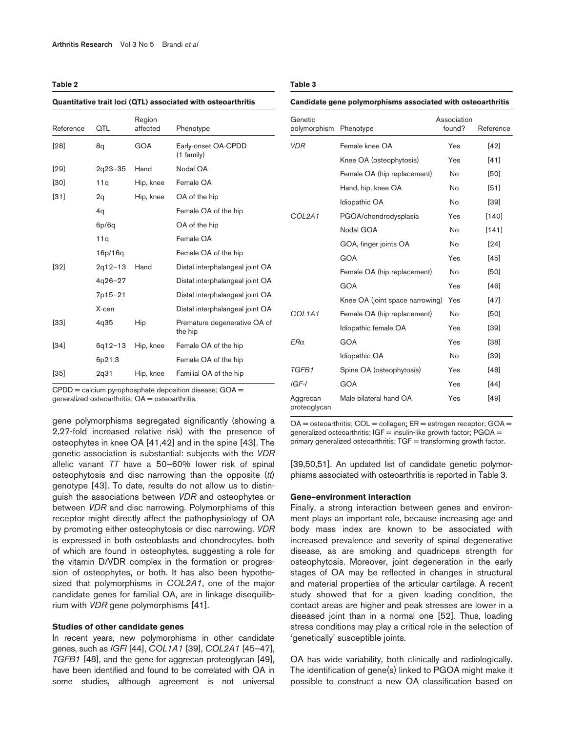#### **Table 2**

| Quantitative trait loci (QTL) associated with osteoarthritis |             |                    |                                         |  |  |
|--------------------------------------------------------------|-------------|--------------------|-----------------------------------------|--|--|
| Reference                                                    | <b>QTL</b>  | Region<br>affected | Phenotype                               |  |  |
| $[28]$                                                       | 8q          | <b>GOA</b>         | Early-onset OA-CPDD<br>$(1$ family)     |  |  |
| [29]                                                         | $2q23 - 35$ | Hand               | Nodal OA                                |  |  |
| [30]                                                         | 11q         | Hip, knee          | Female OA                               |  |  |
| [31]                                                         | 2q          | Hip, knee          | OA of the hip                           |  |  |
|                                                              | 4q          |                    | Female OA of the hip                    |  |  |
|                                                              | 6p/6q       |                    | OA of the hip                           |  |  |
|                                                              | 11q         |                    | Female OA                               |  |  |
|                                                              | 16p/16q     |                    | Female OA of the hip                    |  |  |
| $[32]$                                                       | $2q12 - 13$ | Hand               | Distal interphalangeal joint OA         |  |  |
|                                                              | $4q26 - 27$ |                    | Distal interphalangeal joint OA         |  |  |
|                                                              | 7p15-21     |                    | Distal interphalangeal joint OA         |  |  |
|                                                              | X-cen       |                    | Distal interphalangeal joint OA         |  |  |
| $[33]$                                                       | 4q35        | Hip                | Premature degenerative OA of<br>the hip |  |  |
| $[34]$                                                       | $6q12 - 13$ | Hip, knee          | Female OA of the hip                    |  |  |
|                                                              | 6p21.3      |                    | Female OA of the hip                    |  |  |
| $[35]$                                                       | 2q31        | Hip, knee          | Familial OA of the hip                  |  |  |

 $CPDD =$  calcium pyrophosphate deposition disease;  $GOA =$  $q$ eneralized osteoarthritis;  $OA =$  osteoarthritis.

gene polymorphisms segregated significantly (showing a 2.27-fold increased relative risk) with the presence of osteophytes in knee OA [41,42] and in the spine [43]. The genetic association is substantial: subjects with the *VDR* allelic variant *TT* have a 50–60% lower risk of spinal osteophytosis and disc narrowing than the opposite (*tt*) genotype [43]. To date, results do not allow us to distinguish the associations between *VDR* and osteophytes or between *VDR* and disc narrowing. Polymorphisms of this receptor might directly affect the pathophysiology of OA by promoting either osteophytosis or disc narrowing. *VDR* is expressed in both osteoblasts and chondrocytes, both of which are found in osteophytes, suggesting a role for the vitamin D/VDR complex in the formation or progression of osteophytes, or both. It has also been hypothesized that polymorphisms in *COL2A1*, one of the major candidate genes for familial OA, are in linkage disequilibrium with *VDR* gene polymorphisms [41].

# **Studies of other candidate genes**

In recent years, new polymorphisms in other candidate genes, such as *IGFI* [44], *COL1A1* [39], *COL2A1* [45–47], *TGFB1* [48], and the gene for aggrecan proteoglycan [49], have been identified and found to be correlated with OA in some studies, although agreement is not universal

#### **Table 3**

#### **Candidate gene polymorphisms associated with osteoarthritis**

| Genetic<br>polymorphism         | Phenotype                       | Association<br>found? | Reference |
|---------------------------------|---------------------------------|-----------------------|-----------|
| <b>VDR</b>                      | Female knee OA                  | Yes                   | [42]      |
|                                 | Knee OA (osteophytosis)         | Yes                   | $[41]$    |
|                                 | Female OA (hip replacement)     | No                    | [50]      |
|                                 | Hand, hip, knee OA              | N <sub>o</sub>        | [51]      |
|                                 | Idiopathic OA                   | <b>No</b>             | $[39]$    |
| COL2A1                          | PGOA/chondrodysplasia           | Yes                   | [140]     |
|                                 | Nodal GOA                       | No                    | $[141]$   |
|                                 | GOA, finger joints OA           | N <sub>o</sub>        | $[24]$    |
|                                 | GOA                             | Yes                   | $[45]$    |
|                                 | Female OA (hip replacement)     | N <sub>o</sub>        | [50]      |
|                                 | <b>GOA</b>                      | Yes                   | [46]      |
|                                 | Knee OA (joint space narrowing) | Yes                   | $[47]$    |
| COL <sub>1</sub> A <sub>1</sub> | Female OA (hip replacement)     | N <sub>o</sub>        | [50]      |
|                                 | Idiopathic female OA            | Yes                   | [39]      |
| $ER\alpha$                      | <b>GOA</b>                      | Yes                   | $[38]$    |
|                                 | Idiopathic OA                   | No                    | $[39]$    |
| TGFB1                           | Spine OA (osteophytosis)        | Yes                   | [48]      |
| IGF-I                           | <b>GOA</b>                      | Yes                   | [44]      |
| Aggrecan<br>proteoglycan        | Male bilateral hand OA          | Yes                   | [49]      |

 $OA =$  osteoarthritis;  $COL =$  collagen;  $ER =$  estrogen receptor;  $GOA =$ generalized osteoarthritis;  $IGF =$  insulin-like growth factor;  $PGOA =$ primary generalized osteoarthritis; TGF = transforming growth factor.

[39,50,51]. An updated list of candidate genetic polymorphisms associated with osteoarthritis is reported in Table 3.

#### **Gene–environment interaction**

Finally, a strong interaction between genes and environment plays an important role, because increasing age and body mass index are known to be associated with increased prevalence and severity of spinal degenerative disease, as are smoking and quadriceps strength for osteophytosis. Moreover, joint degeneration in the early stages of OA may be reflected in changes in structural and material properties of the articular cartilage. A recent study showed that for a given loading condition, the contact areas are higher and peak stresses are lower in a diseased joint than in a normal one [52]. Thus, loading stress conditions may play a critical role in the selection of 'genetically' susceptible joints.

OA has wide variability, both clinically and radiologically. The identification of gene(s) linked to PGOA might make it possible to construct a new OA classification based on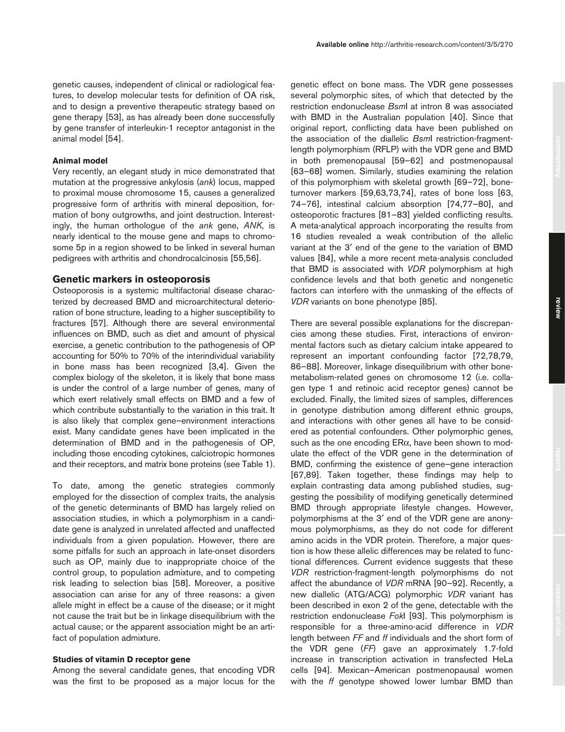genetic causes, independent of clinical or radiological features, to develop molecular tests for definition of OA risk, and to design a preventive therapeutic strategy based on gene therapy [53], as has already been done successfully by gene transfer of interleukin-1 receptor antagonist in the animal model [54].

#### **Animal model**

Very recently, an elegant study in mice demonstrated that mutation at the progressive ankylosis (*ank*) locus, mapped to proximal mouse chromosome 15, causes a generalized progressive form of arthritis with mineral deposition, formation of bony outgrowths, and joint destruction. Interestingly, the human orthologue of the *ank* gene, *ANK*, is nearly identical to the mouse gene and maps to chromosome 5p in a region showed to be linked in several human pedigrees with arthritis and chondrocalcinosis [55,56].

## **Genetic markers in osteoporosis**

Osteoporosis is a systemic multifactorial disease characterized by decreased BMD and microarchitectural deterioration of bone structure, leading to a higher susceptibility to fractures [57]. Although there are several environmental influences on BMD, such as diet and amount of physical exercise, a genetic contribution to the pathogenesis of OP accounting for 50% to 70% of the interindividual variability in bone mass has been recognized [3,4]. Given the complex biology of the skeleton, it is likely that bone mass is under the control of a large number of genes, many of which exert relatively small effects on BMD and a few of which contribute substantially to the variation in this trait. It is also likely that complex gene–environment interactions exist. Many candidate genes have been implicated in the determination of BMD and in the pathogenesis of OP, including those encoding cytokines, calciotropic hormones and their receptors, and matrix bone proteins (see Table 1).

To date, among the genetic strategies commonly employed for the dissection of complex traits, the analysis of the genetic determinants of BMD has largely relied on association studies, in which a polymorphism in a candidate gene is analyzed in unrelated affected and unaffected individuals from a given population. However, there are some pitfalls for such an approach in late-onset disorders such as OP, mainly due to inappropriate choice of the control group, to population admixture, and to competing risk leading to selection bias [58]. Moreover, a positive association can arise for any of three reasons: a given allele might in effect be a cause of the disease; or it might not cause the trait but be in linkage disequilibrium with the actual cause; or the apparent association might be an artifact of population admixture.

#### **Studies of vitamin D receptor gene**

Among the several candidate genes, that encoding VDR was the first to be proposed as a major locus for the genetic effect on bone mass. The VDR gene possesses several polymorphic sites, of which that detected by the restriction endonuclease *Bsm*I at intron 8 was associated with BMD in the Australian population [40]. Since that original report, conflicting data have been published on the association of the diallelic *Bsm*I restriction-fragmentlength polymorphism (RFLP) with the VDR gene and BMD in both premenopausal [59–62] and postmenopausal [63–68] women. Similarly, studies examining the relation of this polymorphism with skeletal growth [69–72], boneturnover markers [59,63,73,74], rates of bone loss [63, 74–76], intestinal calcium absorption [74,77–80], and osteoporotic fractures [81–83] yielded conflicting results. A meta-analytical approach incorporating the results from 16 studies revealed a weak contribution of the allelic variant at the 3′ end of the gene to the variation of BMD values [84], while a more recent meta-analysis concluded that BMD is associated with *VDR* polymorphism at high confidence levels and that both genetic and nongenetic factors can interfere with the unmasking of the effects of *VDR* variants on bone phenotype [85].

There are several possible explanations for the discrepancies among these studies. First, interactions of environmental factors such as dietary calcium intake appeared to represent an important confounding factor [72,78,79, 86–88]. Moreover, linkage disequilibrium with other bonemetabolism-related genes on chromosome 12 (i.e. collagen type 1 and retinoic acid receptor genes) cannot be excluded. Finally, the limited sizes of samples, differences in genotype distribution among different ethnic groups, and interactions with other genes all have to be considered as potential confounders. Other polymorphic genes, such as the one encoding ERα, have been shown to modulate the effect of the VDR gene in the determination of BMD, confirming the existence of gene–gene interaction [67,89]. Taken together, these findings may help to explain contrasting data among published studies, suggesting the possibility of modifying genetically determined BMD through appropriate lifestyle changes. However, polymorphisms at the 3′ end of the VDR gene are anonymous polymorphisms, as they do not code for different amino acids in the VDR protein. Therefore, a major question is how these allelic differences may be related to functional differences. Current evidence suggests that these *VDR* restriction-fragment-length polymorphisms do not affect the abundance of *VDR* mRNA [90–92]. Recently, a new diallelic (ATG/ACG) polymorphic *VDR* variant has been described in exon 2 of the gene, detectable with the restriction endonuclease *Fok*I [93]. This polymorphism is responsible for a three-amino-acid difference in *VDR* length between *FF* and *ff* individuals and the short form of the VDR gene (*FF*) gave an approximately 1.7-fold increase in transcription activation in transfected HeLa cells [94]. Mexican–American postmenopausal women with the *ff* genotype showed lower lumbar BMD than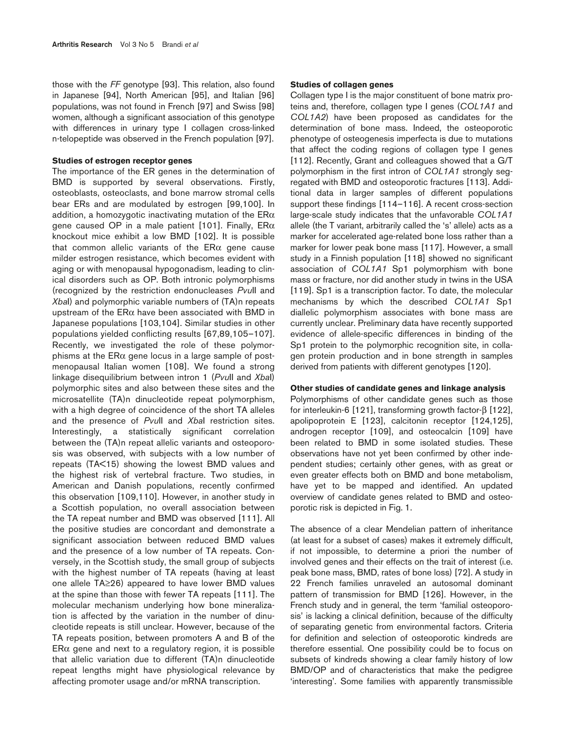those with the *FF* genotype [93]. This relation, also found in Japanese [94], North American [95], and Italian [96] populations, was not found in French [97] and Swiss [98] women, although a significant association of this genotype with differences in urinary type I collagen cross-linked n-telopeptide was observed in the French population [97].

#### **Studies of estrogen receptor genes**

The importance of the ER genes in the determination of BMD is supported by several observations. Firstly, osteoblasts, osteoclasts, and bone marrow stromal cells bear ERs and are modulated by estrogen [99,100]. In addition, a homozygotic inactivating mutation of the  $E R \alpha$ gene caused OP in a male patient [101]. Finally,  $ER\alpha$ knockout mice exhibit a low BMD [102]. It is possible that common allelic variants of the  $ER\alpha$  gene cause milder estrogen resistance, which becomes evident with aging or with menopausal hypogonadism, leading to clinical disorders such as OP. Both intronic polymorphisms (recognized by the restriction endonucleases *Pvu*II and *Xba*I) and polymorphic variable numbers of (TA)n repeats upstream of the  $ER\alpha$  have been associated with BMD in Japanese populations [103,104]. Similar studies in other populations yielded conflicting results [67,89,105–107]. Recently, we investigated the role of these polymorphisms at the  $ER\alpha$  gene locus in a large sample of postmenopausal Italian women [108]. We found a strong linkage disequilibrium between intron 1 (*Pvu*II and *Xba*I) polymorphic sites and also between these sites and the microsatellite (TA)n dinucleotide repeat polymorphism, with a high degree of coincidence of the short TA alleles and the presence of *Pvu*II and *Xba*I restriction sites. Interestingly, a statistically significant correlation between the (TA)n repeat allelic variants and osteoporosis was observed, with subjects with a low number of repeats (TA<15) showing the lowest BMD values and the highest risk of vertebral fracture. Two studies, in American and Danish populations, recently confirmed this observation [109,110]. However, in another study in a Scottish population, no overall association between the TA repeat number and BMD was observed [111]. All the positive studies are concordant and demonstrate a significant association between reduced BMD values and the presence of a low number of TA repeats. Conversely, in the Scottish study, the small group of subjects with the highest number of TA repeats (having at least one allele TA≥26) appeared to have lower BMD values at the spine than those with fewer TA repeats [111]. The molecular mechanism underlying how bone mineralization is affected by the variation in the number of dinucleotide repeats is still unclear. However, because of the TA repeats position, between promoters A and B of the  $ER\alpha$  gene and next to a regulatory region, it is possible that allelic variation due to different (TA)n dinucleotide repeat lengths might have physiological relevance by affecting promoter usage and/or mRNA transcription.

#### **Studies of collagen genes**

Collagen type I is the major constituent of bone matrix proteins and, therefore, collagen type I genes (*COL1A1* and *COL1A2*) have been proposed as candidates for the determination of bone mass. Indeed, the osteoporotic phenotype of osteogenesis imperfecta is due to mutations that affect the coding regions of collagen type I genes [112]. Recently, Grant and colleagues showed that a G/T polymorphism in the first intron of *COL1A1* strongly segregated with BMD and osteoporotic fractures [113]. Additional data in larger samples of different populations support these findings [114–116]. A recent cross-section large-scale study indicates that the unfavorable *COL1A1* allele (the T variant, arbitrarily called the 's' allele) acts as a marker for accelerated age-related bone loss rather than a marker for lower peak bone mass [117]. However, a small study in a Finnish population [118] showed no significant association of *COL1A1* Sp1 polymorphism with bone mass or fracture, nor did another study in twins in the USA [119]. Sp1 is a transcription factor. To date, the molecular mechanisms by which the described *COL1A1* Sp1 diallelic polymorphism associates with bone mass are currently unclear. Preliminary data have recently supported evidence of allele-specific differences in binding of the Sp1 protein to the polymorphic recognition site, in collagen protein production and in bone strength in samples derived from patients with different genotypes [120].

## **Other studies of candidate genes and linkage analysis**

Polymorphisms of other candidate genes such as those for interleukin-6 [121], transforming growth factor-β [122], apolipoprotein E [123], calcitonin receptor [124,125], androgen receptor [109], and osteocalcin [109] have been related to BMD in some isolated studies. These observations have not yet been confirmed by other independent studies; certainly other genes, with as great or even greater effects both on BMD and bone metabolism, have yet to be mapped and identified. An updated overview of candidate genes related to BMD and osteoporotic risk is depicted in Fig. 1.

The absence of a clear Mendelian pattern of inheritance (at least for a subset of cases) makes it extremely difficult, if not impossible, to determine a priori the number of involved genes and their effects on the trait of interest (i.e. peak bone mass, BMD, rates of bone loss) [72]. A study in 22 French families unraveled an autosomal dominant pattern of transmission for BMD [126]. However, in the French study and in general, the term 'familial osteoporosis' is lacking a clinical definition, because of the difficulty of separating genetic from environmental factors. Criteria for definition and selection of osteoporotic kindreds are therefore essential. One possibility could be to focus on subsets of kindreds showing a clear family history of low BMD/OP and of characteristics that make the pedigree 'interesting'. Some families with apparently transmissible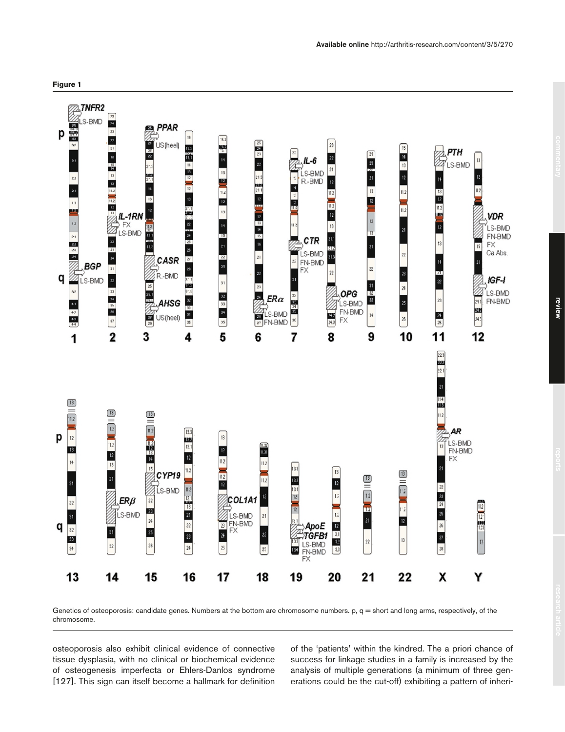



Genetics of osteoporosis: candidate genes. Numbers at the bottom are chromosome numbers. p, q = short and long arms, respectively, of the chromosome.

osteoporosis also exhibit clinical evidence of connective tissue dysplasia, with no clinical or biochemical evidence of osteogenesis imperfecta or Ehlers-Danlos syndrome [127]. This sign can itself become a hallmark for definition of the 'patients' within the kindred. The a priori chance of success for linkage studies in a family is increased by the analysis of multiple generations (a minimum of three generations could be the cut-off) exhibiting a pattern of inheri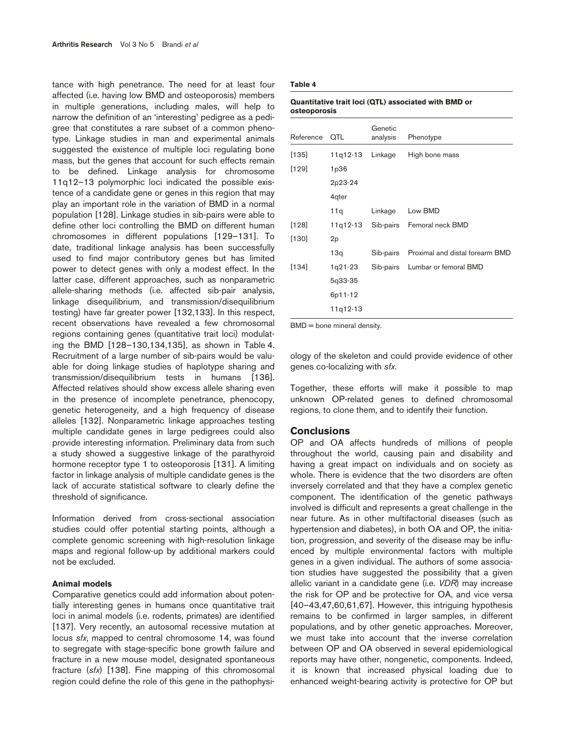tance with high penetrance. The need for at least four affected (i.e. having low BMD and osteoporosis) members in multiple generations, including males, will help to narrow the definition of an 'interesting' pedigree as a pedigree that constitutes a rare subset of a common phenotype. Linkage studies in man and experimental animals suggested the existence of multiple loci regulating bone mass, but the genes that account for such effects remain to be defined. Linkage analysis for chromosome 11q12–13 polymorphic loci indicated the possible existence of a candidate gene or genes in this region that may play an important role in the variation of BMD in a normal population [128]. Linkage studies in sib-pairs were able to define other loci controlling the BMD on different human chromosomes in different populations [129–131]. To date, traditional linkage analysis has been successfully used to find major contributory genes but has limited power to detect genes with only a modest effect. In the latter case, different approaches, such as nonparametric allele-sharing methods (i.e. affected sib-pair analysis, linkage disequilibrium, and transmission/disequilibrium testing) have far greater power [132,133]. In this respect, recent observations have revealed a few chromosomal regions containing genes (quantitative trait loci) modulating the BMD [128–130,134,135], as shown in Table 4. Recruitment of a large number of sib-pairs would be valuable for doing linkage studies of haplotype sharing and transmission/disequilibrium tests in humans [136]. Affected relatives should show excess allele sharing even in the presence of incomplete penetrance, phenocopy, genetic heterogeneity, and a high frequency of disease alleles [132]. Nonparametric linkage approaches testing multiple candidate genes in large pedigrees could also provide interesting information. Preliminary data from such a study showed a suggestive linkage of the parathyroid hormone receptor type 1 to osteoporosis [131]. A limiting factor in linkage analysis of multiple candidate genes is the lack of accurate statistical software to clearly define the threshold of significance.

Information derived from cross-sectional association studies could offer potential starting points, although a complete genomic screening with high-resolution linkage maps and regional follow-up by additional markers could not be excluded.

## **Animal models**

Comparative genetics could add information about potentially interesting genes in humans once quantitative trait loci in animal models (i.e. rodents, primates) are identified [137]. Very recently, an autosomal recessive mutation at locus *sfx*, mapped to central chromosome 14, was found to segregate with stage-specific bone growth failure and fracture in a new mouse model, designated spontaneous fracture (*sfx*) [138]. Fine mapping of this chromosomal region could define the role of this gene in the pathophysi-

### **Table 4**

| osteoporosis |            |                     |                                 |  |  |
|--------------|------------|---------------------|---------------------------------|--|--|
| Reference    | QTL        | Genetic<br>analysis | Phenotype                       |  |  |
| $[135]$      | $11q12-13$ | Linkage             | High bone mass                  |  |  |
| $[129]$      | 1p36       |                     |                                 |  |  |
|              | 2p23-24    |                     |                                 |  |  |
|              | 4qter      |                     |                                 |  |  |
|              | 11q        | Linkage             | Low BMD                         |  |  |
| $[128]$      | 11q12-13   | Sib-pairs           | Femoral neck BMD                |  |  |
| $[130]$      | 2p         |                     |                                 |  |  |
|              | 13q        | Sib-pairs           | Proximal and distal forearm BMD |  |  |
| [134]        | 1q21-23    | Sib-pairs           | Lumbar or femoral BMD           |  |  |
|              | 5q33-35    |                     |                                 |  |  |
|              | 6p11-12    |                     |                                 |  |  |
|              | 11q12-13   |                     |                                 |  |  |

**Quantitative trait loci (QTL) associated with BMD or**

BMD = bone mineral density.

ology of the skeleton and could provide evidence of other genes co-localizing with *sfx*.

Together, these efforts will make it possible to map unknown OP-related genes to defined chromosomal regions, to clone them, and to identify their function.

#### **Conclusions**

OP and OA affects hundreds of millions of people throughout the world, causing pain and disability and having a great impact on individuals and on society as whole. There is evidence that the two disorders are often inversely correlated and that they have a complex genetic component. The identification of the genetic pathways involved is difficult and represents a great challenge in the near future. As in other multifactorial diseases (such as hypertension and diabetes), in both OA and OP, the initiation, progression, and severity of the disease may be influenced by multiple environmental factors with multiple genes in a given individual. The authors of some association studies have suggested the possibility that a given allelic variant in a candidate gene (i.e. *VDR*) may increase the risk for OP and be protective for OA, and vice versa [40–43,47,60,61,67]. However, this intriguing hypothesis remains to be confirmed in larger samples, in different populations, and by other genetic approaches. Moreover, we must take into account that the inverse correlation between OP and OA observed in several epidemiological reports may have other, nongenetic, components. Indeed, it is known that increased physical loading due to enhanced weight-bearing activity is protective for OP but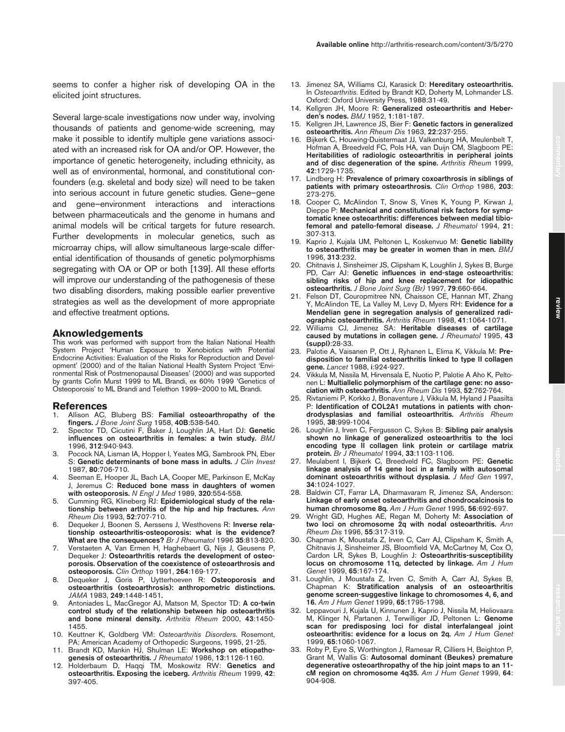seems to confer a higher risk of developing OA in the elicited joint structures.

Several large-scale investigations now under way, involving thousands of patients and genome-wide screening, may make it possible to identify multiple gene variations associated with an increased risk for OA and/or OP. However, the importance of genetic heterogeneity, including ethnicity, as well as of environmental, hormonal, and constitutional confounders (e.g. skeletal and body size) will need to be taken into serious account in future genetic studies. Gene–gene and gene–environment interactions and interactions between pharmaceuticals and the genome in humans and animal models will be critical targets for future research. Further developments in molecular genetics, such as microarray chips, will allow simultaneous large-scale differential identification of thousands of genetic polymorphisms segregating with OA or OP or both [139]. All these efforts will improve our understanding of the pathogenesis of these two disabling disorders, making possible earlier preventive strategies as well as the development of more appropriate and effective treatment options.

### **Aknowledgements**

This work was performed with support from the Italian National Health System Project 'Human Exposure to Xenobiotics with Potential Endocrine Activities: Evaluation of the Risks for Reproduction and Development' (2000) and of the Italian National Health System Project 'Environmental Risk of Postmenopausal Diseases' (2000) and was supported by grants Cofin Murst 1999 to ML Brandi, ex 60% 1999 'Genetics of Osteoporosis' to ML Brandi and Telethon 1999–2000 to ML Brandi.

# **References**<br>1. Allison AC.

- 1. Allison AC, Bluberg BS: **Familial osteoarthropathy of the fingers.** *J Bone Joint Surg* 1958, **40B**:538-540.
- 2. Spector TD, Cicutini F, Baker J, Loughlin JA, Hart DJ: **Genetic influences on osteoarthritis in females: a twin study.** *BMJ* 1996, **312**:940-943.
- 3. Pocock NA, Lisman IA, Hopper I, Yeates MG, Sambrook PN, Eber S: **Genetic determinants of bone mass in adults.** *J Clin Invest* 1987, **80**:706-710.
- Seeman E, Hooper JL, Bach LA, Cooper ME, Parkinson E, McKay J, Jeremus C: **Reduced bone mass in daughters of women with osteoporosis.** *N Engl J Med* 1989, **320**:554-558.
- 5. Cumming RG, Klineberg RJ: **Epidemiological study of the relationship between arthritis of the hip and hip fractures.** *Ann Rheum Dis* 1993, **52**:707-710.
- 6. Dequeker J, Boonen S, Aerssens J, Westhovens R: **Inverse relationship osteoarthritis-osteoporosis: what is the evidence? What are the consequences?** *Br J Rheumatol* 1996 **35**:813-820.
- 7. Verstaeten A, Van Ermen H, Haghebaert G, Nijs J, Geusens P, Dequeker J: **Osteoarthritis retards the development of osteoporosis. Observation of the coexistence of osteoarthrosis and osteoporosis.** *Clin Orthop* 1991, **264**:169-177.
- 8. Dequeker J, Goris P, Uytterhoeven R: **Osteoporosis and osteoarthritis (osteoarthrosis): anthropometric distinctions.** *JAMA* 1983, **249**:1448-1451**.**
- 9. Antoniades L, MacGregor AJ, Matson M, Spector TD: **A co-twin control study of the relationship between hip osteoarthritis and bone mineral density.** *Arthritis Rheum* 2000, **43**:1450- 1455.
- 10. Keuttner K, Goldberg VM: *Osteoarthritis Disorders.* Rosemont, PA: American Academy of Orthopedic Surgeons, 1995, 21-25.
- 11. Brandt KD, Mankin HJ, Shulman LE: **Workshop on etiopathogenesis of osteoarthritis.** *J Rheumatol* 1986, **13**:1126-1160.
- 12. Holderbaum D, Haqqi TM, Moskowitz RW: **Genetics and osteoarthritis. Exposing the iceberg.** *Arthritis Rheum* 1999, **42**: 397-405.
- 13. Jimenez SA, Williams CJ, Karasick D: **Hereditary osteoarthritis.** In *Osteoarthritis*. Edited by Brandt KD, Doherty M, Lohmander LS. Oxford: Oxford University Press, 1988:31-49.
- 14. Kellgren JH, Moore R: **Generalized osteoarthritis and Heberden's nodes.** *BMJ* 1952, **1**:181-187.
- 15. Kellgren JH, Lawrence JS, Bier F: **Genetic factors in generalized osteoarthritis.** *Ann Rheum Dis* 1963, **22**:237-255.
- 16. Bijkerk C, Houwing-Duistermaat JJ, Valkenburg HA, Meulenbelt T, Hofman A, Breedveld FC, Pols HA, van Duijn CM, Slagboom PE: **Heritabilities of radiologic osteoarthritis in peripheral joints and of disc degeneration of the spine.** *Arthritis Rheum* 1999, **42**:1729-1735.
- 17. Lindberg H: **Prevalence of primary coxoarthrosis in siblings of patients with primary osteoarthrosis.** *Clin Orthop* 1986, **203**: 273-275.
- 18. Cooper C, McAlindon T, Snow S, Vines K, Young P, Kirwan J, Dieppe P: **Mechanical and constitutional risk factors for symptomatic knee osteoarthritis: differences between medial tibiofemoral and patello-femoral disease.** *J Rheumatol* 1994, **21**: 307-313.
- 19. Kaprio J, Kujala UM, Peltonen L, Koskenvuo M: **Genetic liability to osteoarthritis may be greater in women than in men.** *BMJ* 1996, **313**:232.
- 20. Chitnavis J, Sinsheimer JS, Clipsham K, Loughlin J, Sykes B, Burge PD, Carr AJ: **Genetic influences in end-stage osteoarthritis: sibling risks of hip and knee replacement for idiopathic osteoarthritis.** *J Bone Joint Surg (Br)* 1997, **79**:660-664.
- 21. Felson DT, Couropmitree NN, Chaisson CE, Hannan MT, Zhang Y, McAlindon TE, La Valley M, Levy D, Myers RH: **Evidence for a Mendelian gene in segregation analysis of generalized radiographic osteoarthritis.** *Arthritis Rheum* 1998, **41**:1064-1071.
- 22. Williams CJ, Jimenez SA: **Heritable diseases of cartilage caused by mutations in collagen gene.** *J Rheumatol* 1995, **43 (suppl)**:28-33.
- 23. Palotie A, Vaisanen P, Ott J, Ryhanen L, Elima K, Vikkula M: **Predisposition to familial osteoarthritis linked to type II collagen gene.** *Lancet* 1988, **i**:924-927.
- 24. Vikkula M, Nissila M, Hirvensala E, Nuotio P, Palotie A Aho K, Peltonen L: **Multiallelic polymorphism of the cartilage gene: no association with osteoarthritis.** *Ann Rheum Dis* 1993, **52**:762-764.
- 25. Rivtaniemi P, Korkko J, Bonaventure J, Vikkula M, Hyland J Paasilta P: **Identification of COL2A1 mutations in patients with chondrodysplasias and familial osteoarthritis.** *Arthritis Rheum* 1995, **38**:999-1004.
- 26. Loughlin J, Irven C, Fergusson C, Sykes B: **Sibling pair analysis shown no linkage of generalized osteoarthritis to the loci encoding type II collagen link protein or cartilage matrix protein.** *Br J Rheumatol* 1994, **33**:1103-1106.
- 27. Meulabent I, Bijkerk C, Breedveld FC, Slagboom PE: **Genetic linkage analysis of 14 gene loci in a family with autosomal dominant osteoarthritis without dysplasia.** *J Med Gen* 1997, **34**:1024-1027.
- 28. Baldwin CT, Farrar LA, Dharmavaram R, Jimenez SA, Anderson: **Linkage of early onset osteoarthritis and chondrocalcinosis to human chromosome 8q.** *Am J Hum Genet* 1995, **56**:692-697.
- 29. Wright GD, Hughes AE, Regan M, Doherty M: **Association of two loci on chromosome 2q with nodal osteoarthritis.** *Ann Rheum Dis* 1996, **55**:317-319.
- 30. Chapman K, Moustafa Z, Irven C, Carr AJ, Clipsham K, Smith A, Chitnavis J, Sinsheimer JS, Bloomfield VA, McCartney M, Cox O, Cardon LR, Sykes B, Loughlin J: **Osteoarthritis-susceptibility locus on chromosome 11q, detected by linkage.** *Am J Hum Genet* 1999, **65**:167-174.
- 31. Loughlin, J Moustafa Z, Irven C, Smith A, Carr AJ, Sykes B, Chapman K: **Stratification analysis of an osteoarthritis genome screen-suggestive linkage to chromosomes 4, 6, and 16.** *Am J Hum Genet* 1999, **65**:1795-1798.
- 32. Leppavouri J, Kujala U, Kinnunen J, Kaprio J, Nissila M, Heliovaara M, Klinger N, Partanen J, Terwilliger JD, Peltonen L: **Genome scan for predisposing loci for distal interfalangeal joint osteoarthritis: evidence for a locus on 2q.** *Am J Hum Genet* 1999, **65**:1060-1067.
- 33. Roby P, Eyre S, Worthington J, Ramesar R, Cilliers H, Beighton P, Grant M, Wallis G: **Autosomal dominant (Beukes) premature degenerative osteoarthropathy of the hip joint maps to an 11 cM region on chromosome 4q35.** *Am J Hum Genet* 1999, **64**: 904-908.

**review**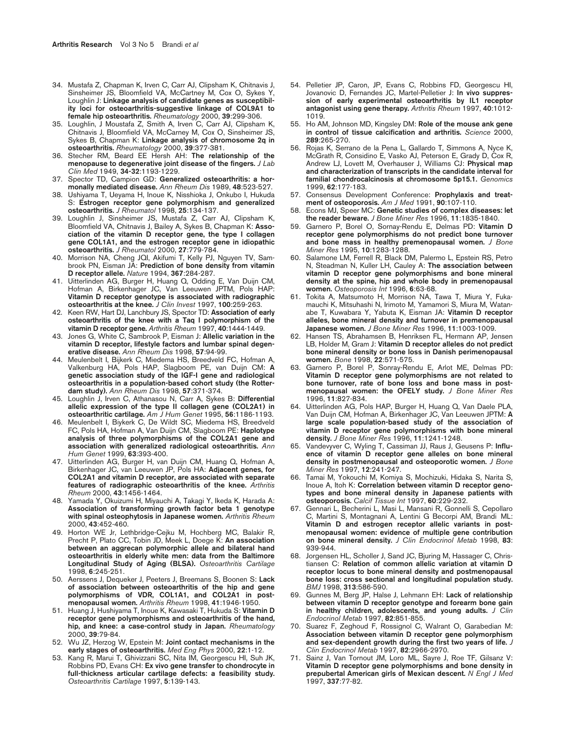- 34. Mustafa Z, Chapman K, Irven C, Carr AJ, Clipsham K, Chitnavis J, Sinsheimer JS, Bloomfield VA, McCartney M, Cox O, Sykes Y, Loughlin J: **Linkage analysis of candidate genes as susceptibility loci for osteoarthritis-suggestive linkage of COL9A1 to female hip osteoarthritis.** *Rheumatology* 2000, **39**:299-306.
- 35. Loughlin, J Moustafa Z, Smith A, Irven C, Carr AJ, Clipsham K, Chitnavis J, Bloomfield VA, McCarney M, Cox O, Sinsheimer JS, Sykes B, Chapman K: **Linkage analysis of chromosome 2q in osteoarthritis.** *Rheumatology* 2000, **39**:377-381.
- 36. Stecher RM, Beard EE Hersh AH: The relationship of the **menopause to degenerative joint disease of the fingers.** *J Lab Clin Med* 1949, **34-32**:1193-1229.
- 37. Spector TD, Campion GD: **Generalized osteoarthritis: a hormonally mediated disease.** *Ann Rheum Dis* 1989, **48**:523-527.
- 38. Ushiyama T, Ueyama H, Inoue K, Nisshioka J, Onkubo I, Hukuda S: **Estrogen receptor gene polymorphism and generalized osteoarthritis.** *J Rheumatol* 1998, **25**:134-137.
- 39. Loughlin J, Sinsheimer JS, Mustafa Z, Carr AJ, Clipsham K, Bloomfield VA, Chitnavis J, Bailey A, Sykes B, Chapman K: **Association of the vitamin D receptor gene, the type I collagen gene COL1A1, and the estrogen receptor gene in idiopathic osteoarthritis.** *J Rheumatol* 2000, **27**:779-784.
- 40. Morrison NA, Cheng JQI, Akifumi T, Kelly PJ, Nguyen TV, Sambrook PN, Eisman JA: **Prediction of bone density from vitamin D receptor allele.** *Nature* 1994, **367**:284-287.
- 41. Uitterlinden AG, Burger H, Huang Q, Odding E, Van Duijn CM, Hofman A, Birkenhager JC, Van Leeuwen JPTM, Pols HAP: **Vitamin D receptor genotype is associated with radiographic osteoarthritis at the knee.** *J Clin Invest* 1997, **100**:259-263.
- 42. Keen RW, Hart DJ, Lanchbury JS, Spector TD: **Association of early osteoarthritis of the knee with a Taq I polymorphism of the vitamin D receptor gene.** *Arthritis Rheum* 1997, **40**:1444-1449.
- 43. Jones G, White C, Sambrook P, Eisman J: **Allelic variation in the vitamin D receptor, lifestyle factors and lumbar spinal degenerative disease.** *Ann Rheum Dis* 1998, **57**:94-99.
- 44. Meulenbelt I, Bijkerk C, Miedema HS, Breedveld FC, Hofman A, Valkenburg HA, Pols HAP, Slagboom PE, van Duijn CM: **A genetic association study of the IGF-I gene and radiological osteoarthritis in a population-based cohort study (the Rotterdam study).** *Ann Rheum Dis* 1998, **57**:371-374.
- 45. Loughlin J, Irven C, Athanasou N, Carr A, Sykes B: **Differential allelic expression of the type II collagen gene (COL2A1) in osteoarthritic cartilage.** *Am J Hum Genet* 1995, **56**:1186-1193.
- 46. Meulenbelt I, Biykerk C, De Wildt SC, Miedema HS, Breedveld FC, Pols HA, Hofman A, Van Duijn CM, Slagboom PE: **Haplotype analysis of three polymorphisms of the COL2A1 gene and association with generalized radiological osteoarthritis.** *Ann Hum Genet* 1999, **63**:393-400.
- 47. Uitterlinden AG, Burger H, van Duijn CM, Huang Q, Hofman A, Birkenhager JC, van Leeuwen JP, Pols HA: **Adjacent genes, for COL2A1 and vitamin D receptor, are associated with separate features of radiographic osteoarthritis of the knee.** *Arthritis Rheum* 2000, **43**:1456-1464.
- 48. Yamada Y, Okuizumi H, Miyauchi A, Takagi Y, Ikeda K, Harada A: **Association of transforming growth factor beta 1 genotype with spinal osteophytosis in Japanese women.** *Arthritis Rheum* 2000, **43**:452-460.
- 49. Horton WE Jr, Lethbridge-Cejku M, Hochberg MC, Balakir R, Precht P, Plato CC, Tobin JD, Meek L, Doege K: **An association between an aggrecan polymorphic allele and bilateral hand osteoarthritis in elderly white men: data from the Baltimore Longitudinal Study of Aging (BLSA).** *Osteoarthritis Cartilage* 1998, **6**:245-251.
- 50. Aerssens J, Dequeker J, Peeters J, Breemans S, Boonen S: **Lack of association between osteoarthritis of the hip and gene polymorphisms of VDR, COL1A1, and COL2A1 in postmenopausal women.** *Arthritis Rheum* 1998, **41**:1946-1950.
- 51. Huang J, Hushiyama T, Inoue K, Kawasaki T, Hukuda S: **Vitamin D receptor gene polymorphisms and osteoarthritis of the hand, hip, and knee: a case-control study in Japan.** *Rheumatology* 2000, **39**:79-84.
- 52. Wu JZ, Herzog W, Epstein M: **Joint contact mechanisms in the early stages of osteoarthritis.** *Med Eng Phys* 2000, **22**:1-12.
- 53. Kang R, Marui T, Ghivizzani SC, Nita IM, Georgescu HI, Suh JK, Robbins PD, Evans CH: **Ex vivo gene transfer to chondrocyte in full-thickness articular cartilage defects: a feasibility study.** *Osteoarthritis Cartilage* 1997, **5**:139-143.
- 54. Pelletier JP, Caron, JP, Evans C, Robbins FD, Georgescu HI, Jovanovic D, Fernandes JC, Martel-Pelletier J: **In vivo suppression of early experimental osteoarthritis by IL1 receptor antagonist using gene therapy.** *Arthritis Rheum* 1997, **40**:1012- 1019.
- 55. Ho AM, Johnson MD, Kingsley DM: **Role of the mouse ank gene in control of tissue calcification and arthritis.** *Science* 2000, **289**:265-270.
- 56. Rojas K, Serrano de la Pena L, Gallardo T, Simmons A, Nyce K, McGrath R, Considino E, Vasko AJ, Peterson E, Grady D, Cox R, Andrew LJ, Lovett M, Overhauser J, Williams CJ: **Physical map and characterization of transcripts in the candidate interval for familial chondrocalcinosis at chromosome 5p15.1.** *Genomics* 1999, **62**:177-183.
- 57. Consensus Development Conference: **Prophylaxis and treatment of osteoporosis.** *Am J Med* 1991, **90**:107-110.
- 58. Econs MJ, Speer MC: **Genetic studies of complex diseases: let the reader beware.** *J Bone Miner Res* 1996, **11**:1835-1840.
- 59. Garnero P, Borel O, Sornay-Rendu E, Delmas PD: **Vitamin D receptor gene polymorphisms do not predict bone turnover and bone mass in healthy premenopausal women.** *J Bone Miner Res* 1995, **10**:1283-1288.
- 60. Salamone LM, Ferrell R, Black DM, Palermo L, Epstein RS, Petro N, Steadman N, Kuller LH, Cauley A: **The association between vitamin D receptor gene polymorphisms and bone mineral density at the spine, hip and whole body in premenopausal women.** *Osteoporosis Int* 1996, **6**:63-68.
- 61. Tokita A, Matsumoto H, Morrison NA, Tawa T, Miura Y, Fukamauchi K, Mitsuhashi N, Irimoto M, Yamamori S, Miura M, Watanabe T, Kuwabara Y, Yabuta K, Eisman JA: **Vitamin D receptor alleles, bone mineral density and turnover in premenopausal Japanese women.** *J Bone Miner Res* 1996, **11**:1003-1009.
- 62. Hansen TS, Abrahamsen B, Henriksen FL, Hermann AP, Jensen LB, Holder M, Gram J: **Vitamin D receptor alleles do not predict bone mineral density or bone loss in Danish perimenopausal women.** *Bone* 1998, **22**:571-575.
- 63. Garnero P, Borel P, Sonray-Rendu E, Arlot ME, Delmas PD: **Vitamin D receptor gene polymorphisms are not related to bone turnover, rate of bone loss and bone mass in postmenopausal women: the OFELY study.** *J Bone Miner Res* 1996, **11**:827-834.
- 64. Uitterlinden AG, Pols HAP, Burger H, Huang Q, Van Daele PLA, Van Duijn CM, Hofman A, Birkenhager JC, Van Leeuwen JPTM: **A large scale population-based study of the association of vitamin D receptor gene polymorphisms with bone mineral density.** *J Bone Miner Res* 1996, **11**:1241-1248.
- 65. Vandevyver C, Wyling T, Cassiman JJ, Raus J, Geusens P: **Influence of vitamin D receptor gene alleles on bone mineral density in postmenopausal and osteoporotic women.** *J Bone Miner Res* 1997, **12**:241-247.
- 66. Tamai M, Yokouchi M, Komiya S, Mochizuki, Hidaka S, Narita S, Inoue A, Itoh K: **Correlation between vitamin D receptor genotypes and bone mineral density in Japanese patients with osteoporosis.** *Calcif Tissue Int* 1997, **60**:229-232.
- 67. Gennari L, Becherini L, Masi L, Mansani R, Gonnelli S, Cepollaro C, Martini S, Montagnani A, Lentini G Becorpi AM, Brandi ML: **Vitamin D and estrogen receptor allelic variants in postmenopausal women: evidence of multiple gene contribution on bone mineral density.** *J Clin Endocrinol Metab* 1998, **83**: 939-944.
- 68. Jorgensen HL, Scholler J, Sand JC, Bjuring M, Hassager C, Christiansen C: **Relation of common allelic variation at vitamin D receptor locus to bone mineral density and postmenopausal bone loss: cross sectional and longitudinal population study.** *BMJ* 1998, **313**:586-590.
- 69. Gunnes M, Berg JP, Halse J, Lehmann EH: **Lack of relationship between vitamin D receptor genotype and forearm bone gain in healthy children, adolescents, and young adults.** *J Clin Endocrinol Metab* 1997, **82**:851-855.
- 70. Suarez F, Zeghoud F, Rossignol C, Walrant O, Garabedian M: **Association between vitamin D receptor gene polymorphism and sex-dependent growth during the first two years of life.** *J Clin Endocrinol Metab* 1997, **82**:2966-2970.
- Sainz J, Van Tornout JM, Loro ML, Sayre J, Roe TF, Gilsanz V: **Vitamin D receptor gene polymorphisms and bone density in prepubertal American girls of Mexican descent.** *N Engl J Med* 1997, **337**:77-82.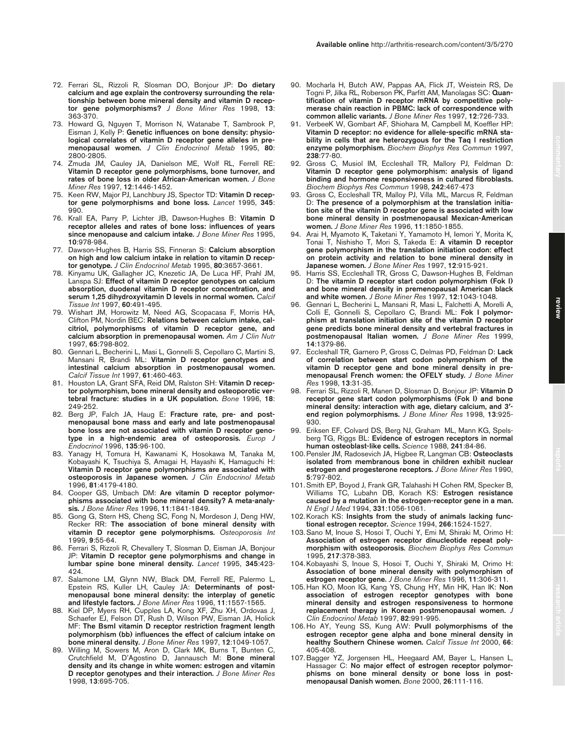- 73. Howard G, Nguyen T, Morrison N, Watanabe T, Sambrook P, Eisman J, Kelly P: **Genetic influences on bone density: physiological correlates of vitamin D receptor gene alleles in premenopausal women.** *J Clin Endocrinol Metab* 1995, **80**: 2800-2805.
- 74. Zmuda JM, Cauley JA, Danielson ME, Wolf RL, Ferrell RE: **Vitamin D receptor gene polymorphisms, bone turnover, and rates of bone loss in older African-American women.** *J Bone Miner Res* 1997, **12**:1446-1452.
- 75. Keen RW, Major PJ, Lanchbury JS, Spector TD: **Vitamin D receptor gene polymorphisms and bone loss.** *Lancet* 1995, **345**: 990.
- 76. Krall EA, Parry P, Lichter JB, Dawson-Hughes B: **Vitamin D receptor alleles and rates of bone loss: influences of years since menopause and calcium intake.** *J Bone Miner Res* 1995, **10**:978-984.
- 77. Dawson-Hughes B, Harris SS, Finneran S: **Calcium absorption on high and low calcium intake in relation to vitamin D receptor genotype.** *J Clin Endocrinol Metab* 1995, **80**:3657-3661.
- 78. Kinyamu UK, Gallagher JC, Knezetic JA, De Luca HF, Prahl JM, Lanspa SJ: **Effect of vitamin D receptor genotypes on calcium absorption, duodenal vitamin D receptor concentration, and serum 1,25 dihydroxyvitamin D levels in normal women.** *Calcif Tissue Int* 1997, **60**:491-495.
- 79. Wishart JM, Horowitz M, Need AG, Scopacasa F, Morris HA, Clifton PM, Nordin BEC: **Relations between calcium intake, calcitriol, polymorphisms of vitamin D receptor gene, and calcium absorption in premenopausal women.** *Am J Clin Nutr* 1997, **65**:798-802.
- 80. Gennari L, Becherini L, Masi L, Gonnelli S, Cepollaro C, Martini S, Mansani R, Brandi ML: **Vitamin D receptor genotypes and intestinal calcium absorption in postmenopausal women.** *Calcif Tissue Int* 1997, **61**:460-463.
- 81. Houston LA, Grant SFA, Reid DM, Ralston SH: **Vitamin D receptor polymorphism, bone mineral density and osteoporotic vertebral fracture: studies in a UK population.** *Bone* 1996, **18**: 249-252.
- 82. Berg JP, Falch JA, Haug E: **Fracture rate, pre- and postmenopausal bone mass and early and late postmenopausal bone loss are not associated with vitamin D receptor genotype in a high-endemic area of osteoporosis***. Europ J Endocrinol* 1996, **135**:96-100.
- 83. Yanagy H, Tomura H, Kawanami K, Hosokawa M, Tanaka M, Kobayashi K, Tsuchiya S, Amagai H, Hayashi K, Hamaguchi H: **Vitamin D receptor gene polymorphisms are associated with osteoporosis in Japanese women.** *J Clin Endocrinol Metab* 1996, **81**:4179-4180.
- 84. Cooper GS, Umbach DM: **Are vitamin D receptor polymorphisms associated with bone mineral density? A meta-analysis.** *J Bone Miner Res* 1996, **11**:1841-1849.
- 85. Gong G, Stern HS, Cheng SC, Fong N, Mordeson J, Deng HW, Recker RR: **The association of bone mineral density with vitamin D receptor gene polymorphisms.** *Osteoporosis Int* 1999, **9**:55-64.
- 86. Ferrari S, Rizzoli R, Chevallery T, Slosman D, Eisman JA, Bonjour JP: **Vitamin D receptor gene polymorphisms and change in lumbar spine bone mineral density.** *Lancet* 1995, **345**:423- 424.
- 87. Salamone LM, Glynn NW, Black DM, Ferrell RE, Palermo L, Epstein RS, Kuller LH, Cauley JA: **Determinants of postmenopausal bone mineral density: the interplay of genetic and lifestyle factors.** *J Bone Miner Res* 1996, **11**:1557-1565.
- 88. Kiel DP, Myers RH, Cupples LA, Kong XF, Zhu XH, Ordovas J, Schaefer EJ, Felson DT, Rush D, Wilson PW, Eisman JA, Holick MF: **The BsmI vitamin D receptor restriction fragment length polymorphism (bb) influences the effect of calcium intake on bone mineral density.** *J Bone Miner Res* 1997, **12**:1049-1057.
- 89. Willing M, Sowers M, Aron D, Clark MK, Burns T, Bunten C, Crutchfield M, D'Agostino D, Jannausch M: **Bone mineral density and its change in white women: estrogen and vitamin D receptor genotypes and their interaction.** *J Bone Miner Res* 1998, **13**:695-705.
- 90. Mocharla H, Butch AW, Pappas AA, Flick JT, Weistein RS, De Togni P, Jilka RL, Roberson PK, Parfitt AM, Manolagas SC: **Quantification of vitamin D receptor mRNA by competitive polymerase chain reaction in PBMC: lack of correspondence with common allelic variants.** *J Bone Miner Res* 1997, **12**:726-733.
- 91. VerbeeK W, Gombart AF, Shiohara M, Campbell M, Koeffler HP: **Vitamin D receptor: no evidence for allele-specific mRNA stability in cells that are heterozygous for the Taq I restriction enzyme polymorphism.** *Biochem Biophys Res Commun* 1997, **238**:77-80.
- 92. Gross C, Musiol IM, Eccleshall TR, Mallory PJ, Feldman D: **Vitamin D receptor gene polymorphism: analysis of ligand binding and hormone responsiveness in cultured fibroblasts.** *Biochem Biophys Res Commun* 1998, **242**:467-473
- 93. Gross C, Eccleshall TR, Malloy PJ, Villa ML, Marcus R, Feldman D: **The presence of a polymorphism at the translation initiation site of the vitamin D receptor gene is associated with low bone mineral density in postmenopausal Mexican-American women.** *J Bone Miner Res* 1996, **11**:1850-1855.
- 94. Arai H, Myamoto K, Taketani Y, Yamamoto H, Iemori Y, Morita K, Tonai T, Nishisho T, Mori S, Takeda E: **A vitamin D receptor gene polymorphism in the translation initiation codon: effect on protein activity and relation to bone mineral density in Japanese women.** *J Bone Miner Res* 1997, **12**:915-921.
- 95. Harris SS, Eccleshall TR, Gross C, Dawson-Hughes B, Feldman D: **The vitamin D receptor start codon polymorphism (Fok I) and bone mineral density in premenopausal American black and white women.** *J Bone Miner Res* 1997, **12**:1043-1048.
- 96. Gennari L, Becherini L, Mansani R, Masi L, Falchetti A, Morelli A, Colli E, Gonnelli S, Cepollaro C, Brandi ML: **Fok I polymorphism at translation initiation site of the vitamin D receptor gene predicts bone mineral density and vertebral fractures in postmenopausal Italian women.** *J Bone Miner Res* 1999, **14**:1379-86.
- 97. Eccleshall TR, Garnero P, Gross C, Delmas PD, Feldman D: **Lack of correlation between start codon polymorphism of the vitamin D receptor gene and bone mineral density in premenopausal French women: the OFELY study.** *J Bone Miner Res* 1998, **13**:31-35.
- 98. Ferrari SL, Rizzoli R, Manen D, Slosman D, Bonjour JP: **Vitamin D receptor gene start codon polymorphisms (Fok I) and bone mineral density: interaction with age, dietary calcium, and 3**′ **end region polymorphisms.** *J Bone Miner Res* 1998, **13**:925- 930.
- 99. Eriksen EF, Colvard DS, Berg NJ, Graham ML, Mann KG, Spelsberg TG, Riggs BL: **Evidence of estrogen receptors in normal human osteoblast-like cells.** *Science* 1988, **241**:84-86.
- 100. Pensler JM, Radosevich JA, Higbee R, Langman CB: **Osteoclasts isolated from membranous bone in children exhibit nuclear estrogen and progesterone receptors.** *J Bone Miner Res* 1990, **5**:797-802.
- 101. Smith EP, Boyod J, Frank GR, Talahashi H Cohen RM, Specker B, Williams TC, Lubahn DB, Korach KS: **Estrogen resistance caused by a mutation in the estrogen-receptor gene in a man.** *N Engl J Med* 1994, **331**:1056-1061.
- 102. Korach KS: **Insights from the study of animals lacking functional estrogen receptor.** *Science* 1994, **266**:1524-1527.
- 103. Sano M, Inoue S, Hosoi T, Ouchi Y, Emi M, Shiraki M, Orimo H: **Association of estrogen receptor dinucleotide repeat polymorphism with osteoporosis.** *Biochem Biophys Res Commun* 1995, **217**:378-383.
- 104. Kobayashi S, Inoue S, Hosoi T, Ouchi Y, Shiraki M, Orimo H: **Association of bone mineral density with polymorphism of estrogen receptor gene.** *J Bone Miner Res* 1996, **11**:306-311.
- 105. Han KO, Moon IG, Kang YS, Chung HY, Min HK, Han IK: **Non association of estrogen receptor genotypes with bone mineral density and estrogen responsiveness to hormone replacement therapy in Korean postmenopausal women.** *J Clin Endocrinol Metab* 1997, **82**:991-995.
- 106. Ho AY, Yeung SS, Kung AW: **PvuII polymorphisms of the estrogen receptor gene alpha and bone mineral density in healthy Southern Chinese women.** *Calcif Tissue Int* 2000, **66**: 405-408.
- 107. Bagger YZ, Jorgensen HL, Heegaard AM, Bayer L, Hansen L, Hassager C: **No major effect of estrogen receptor polymorphisms on bone mineral density or bone loss in postmenopausal Danish women.** *Bone* 2000, **26**:111-116.